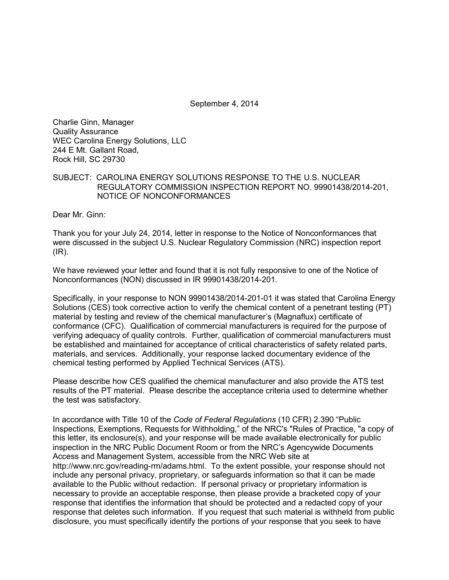September 4, 2014

Charlie Ginn, Manager Quality Assurance WEC Carolina Energy Solutions, LLC 244 E Mt. Gallant Road, Rock Hill, SC 29730

## SUBJECT: CAROLINA ENERGY SOLUTIONS RESPONSE TO THE U.S. NUCLEAR REGULATORY COMMISSION INSPECTION REPORT NO. 99901438/2014-201, NOTICE OF NONCONFORMANCES

Dear Mr. Ginn:

Thank you for your July 24, 2014, letter in response to the Notice of Nonconformances that were discussed in the subject U.S. Nuclear Regulatory Commission (NRC) inspection report  $(IR)$ .

We have reviewed your letter and found that it is not fully responsive to one of the Notice of Nonconformances (NON) discussed in IR 99901438/2014-201.

Specifically, in your response to NON 99901438/2014-201-01 it was stated that Carolina Energy Solutions (CES) took corrective action to verify the chemical content of a penetrant testing (PT) material by testing and review of the chemical manufacturer's (Magnaflux) certificate of conformance (CFC). Qualification of commercial manufacturers is required for the purpose of verifying adequacy of quality controls. Further, qualification of commercial manufacturers must be established and maintained for acceptance of critical characteristics of safety related parts, materials, and services. Additionally, your response lacked documentary evidence of the chemical testing performed by Applied Technical Services (ATS).

Please describe how CES qualified the chemical manufacturer and also provide the ATS test results of the PT material. Please describe the acceptance criteria used to determine whether the test was satisfactory.

In accordance with Title 10 of the *Code of Federal Regulations* (10 CFR) 2.390 "Public Inspections, Exemptions, Requests for Withholding," of the NRC's "Rules of Practice, "a copy of this letter, its enclosure(s), and your response will be made available electronically for public inspection in the NRC Public Document Room or from the NRC's Agencywide Documents Access and Management System, accessible from the NRC Web site at http://www.nrc.gov/reading-rm/adams.html. To the extent possible, your response should not include any personal privacy, proprietary, or safeguards information so that it can be made available to the Public without redaction. If personal privacy or proprietary information is necessary to provide an acceptable response, then please provide a bracketed copy of your response that identifies the information that should be protected and a redacted copy of your response that deletes such information. If you request that such material is withheld from public disclosure, you must specifically identify the portions of your response that you seek to have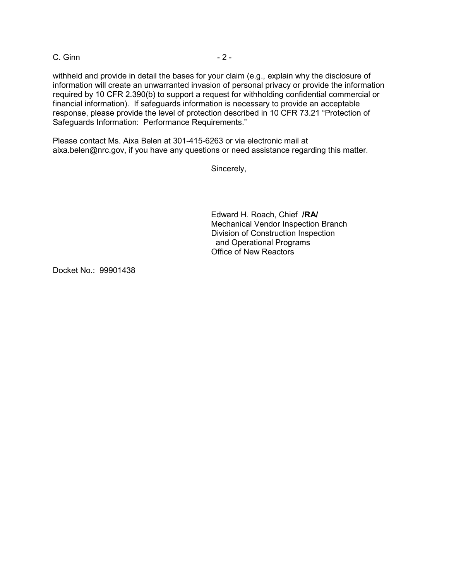C. Ginn - 2 -

withheld and provide in detail the bases for your claim (e.g., explain why the disclosure of information will create an unwarranted invasion of personal privacy or provide the information required by 10 CFR 2.390(b) to support a request for withholding confidential commercial or financial information). If safeguards information is necessary to provide an acceptable response, please provide the level of protection described in 10 CFR 73.21 "Protection of Safeguards Information: Performance Requirements."

Please contact Ms. Aixa Belen at 301-415-6263 or via electronic mail at aixa.belen@nrc.gov, if you have any questions or need assistance regarding this matter.

Sincerely,

Edward H. Roach, Chief **/RA/** Mechanical Vendor Inspection Branch Division of Construction Inspection and Operational Programs Office of New Reactors

Docket No.: 99901438